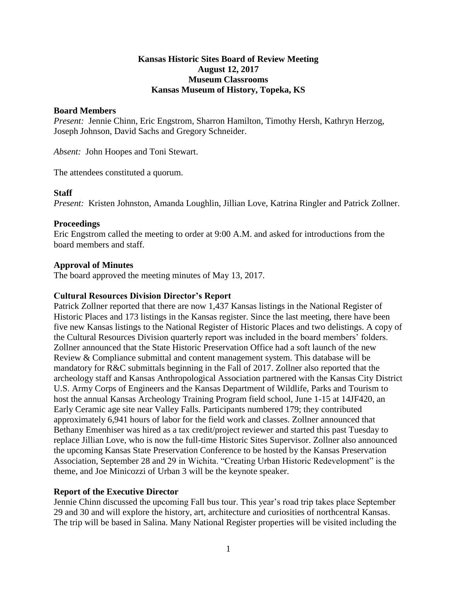# **Kansas Historic Sites Board of Review Meeting August 12, 2017 Museum Classrooms Kansas Museum of History, Topeka, KS**

## **Board Members**

*Present:* Jennie Chinn, Eric Engstrom, Sharron Hamilton, Timothy Hersh, Kathryn Herzog, Joseph Johnson, David Sachs and Gregory Schneider.

*Absent:* John Hoopes and Toni Stewart.

The attendees constituted a quorum.

### **Staff**

*Present:* Kristen Johnston, Amanda Loughlin, Jillian Love, Katrina Ringler and Patrick Zollner.

### **Proceedings**

Eric Engstrom called the meeting to order at 9:00 A.M. and asked for introductions from the board members and staff.

### **Approval of Minutes**

The board approved the meeting minutes of May 13, 2017.

### **Cultural Resources Division Director's Report**

Patrick Zollner reported that there are now 1,437 Kansas listings in the National Register of Historic Places and 173 listings in the Kansas register. Since the last meeting, there have been five new Kansas listings to the National Register of Historic Places and two delistings. A copy of the Cultural Resources Division quarterly report was included in the board members' folders. Zollner announced that the State Historic Preservation Office had a soft launch of the new Review & Compliance submittal and content management system. This database will be mandatory for R&C submittals beginning in the Fall of 2017. Zollner also reported that the archeology staff and Kansas Anthropological Association partnered with the Kansas City District U.S. Army Corps of Engineers and the Kansas Department of Wildlife, Parks and Tourism to host the annual Kansas Archeology Training Program field school, June 1-15 at 14JF420, an Early Ceramic age site near Valley Falls. Participants numbered 179; they contributed approximately 6,941 hours of labor for the field work and classes. Zollner announced that Bethany Emenhiser was hired as a tax credit/project reviewer and started this past Tuesday to replace Jillian Love, who is now the full-time Historic Sites Supervisor. Zollner also announced the upcoming Kansas State Preservation Conference to be hosted by the Kansas Preservation Association, September 28 and 29 in Wichita. "Creating Urban Historic Redevelopment" is the theme, and Joe Minicozzi of Urban 3 will be the keynote speaker.

### **Report of the Executive Director**

Jennie Chinn discussed the upcoming Fall bus tour. This year's road trip takes place September 29 and 30 and will explore the history, art, architecture and curiosities of northcentral Kansas. The trip will be based in Salina. Many National Register properties will be visited including the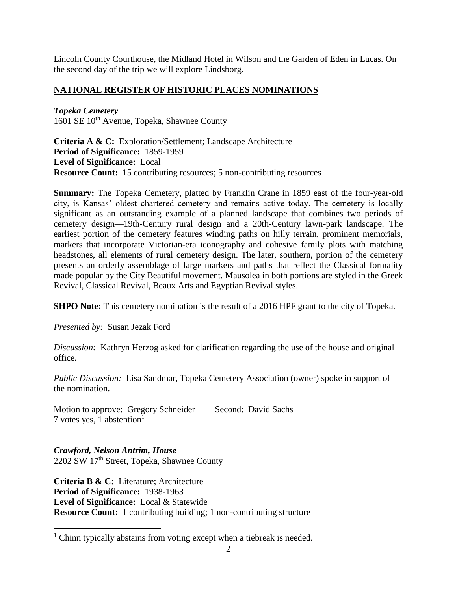Lincoln County Courthouse, the Midland Hotel in Wilson and the Garden of Eden in Lucas. On the second day of the trip we will explore Lindsborg.

# **NATIONAL REGISTER OF HISTORIC PLACES NOMINATIONS**

*Topeka Cemetery* 1601 SE 10<sup>th</sup> Avenue, Topeka, Shawnee County

**Criteria A & C:** Exploration/Settlement; Landscape Architecture **Period of Significance:** 1859-1959 **Level of Significance:** Local **Resource Count:** 15 contributing resources; 5 non-contributing resources

**Summary:** The Topeka Cemetery, platted by Franklin Crane in 1859 east of the four-year-old city, is Kansas' oldest chartered cemetery and remains active today. The cemetery is locally significant as an outstanding example of a planned landscape that combines two periods of cemetery design—19th-Century rural design and a 20th-Century lawn-park landscape. The earliest portion of the cemetery features winding paths on hilly terrain, prominent memorials, markers that incorporate Victorian-era iconography and cohesive family plots with matching headstones, all elements of rural cemetery design. The later, southern, portion of the cemetery presents an orderly assemblage of large markers and paths that reflect the Classical formality made popular by the City Beautiful movement. Mausolea in both portions are styled in the Greek Revival, Classical Revival, Beaux Arts and Egyptian Revival styles.

**SHPO Note:** This cemetery nomination is the result of a 2016 HPF grant to the city of Topeka.

*Presented by:* Susan Jezak Ford

 $\overline{a}$ 

*Discussion:* Kathryn Herzog asked for clarification regarding the use of the house and original office.

*Public Discussion:* Lisa Sandmar, Topeka Cemetery Association (owner) spoke in support of the nomination.

Motion to approve: Gregory Schneider Second: David Sachs 7 votes yes, 1 abstention<sup>1</sup>

*Crawford, Nelson Antrim, House* 2202 SW 17th Street, Topeka, Shawnee County

**Criteria B & C:** Literature; Architecture **Period of Significance:** 1938-1963 **Level of Significance:** Local & Statewide **Resource Count:** 1 contributing building; 1 non-contributing structure

 $1$  Chinn typically abstains from voting except when a tiebreak is needed.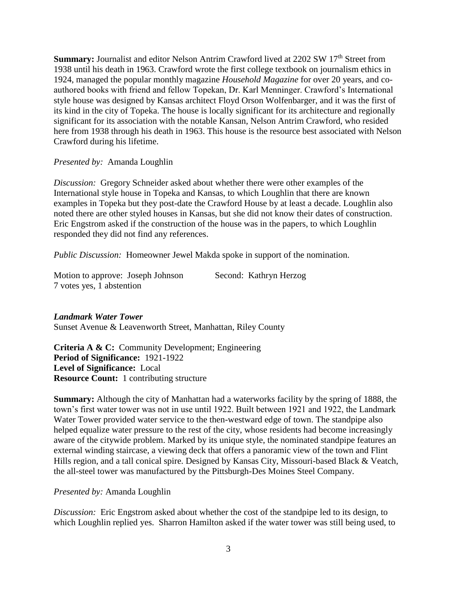**Summary:** Journalist and editor Nelson Antrim Crawford lived at 2202 SW 17<sup>th</sup> Street from 1938 until his death in 1963. Crawford wrote the first college textbook on journalism ethics in 1924, managed the popular monthly magazine *Household Magazine* for over 20 years, and coauthored books with friend and fellow Topekan, Dr. Karl Menninger. Crawford's International style house was designed by Kansas architect Floyd Orson Wolfenbarger, and it was the first of its kind in the city of Topeka. The house is locally significant for its architecture and regionally significant for its association with the notable Kansan, Nelson Antrim Crawford, who resided here from 1938 through his death in 1963. This house is the resource best associated with Nelson Crawford during his lifetime.

*Presented by:* Amanda Loughlin

*Discussion:* Gregory Schneider asked about whether there were other examples of the International style house in Topeka and Kansas, to which Loughlin that there are known examples in Topeka but they post-date the Crawford House by at least a decade. Loughlin also noted there are other styled houses in Kansas, but she did not know their dates of construction. Eric Engstrom asked if the construction of the house was in the papers, to which Loughlin responded they did not find any references.

*Public Discussion:* Homeowner Jewel Makda spoke in support of the nomination.

| Motion to approve: Joseph Johnson |  | Second: Kathryn Herzog |
|-----------------------------------|--|------------------------|
| 7 votes yes, 1 abstention         |  |                        |

# *Landmark Water Tower*

Sunset Avenue & Leavenworth Street, Manhattan, Riley County

**Criteria A & C:** Community Development; Engineering **Period of Significance:** 1921-1922 **Level of Significance:** Local **Resource Count:** 1 contributing structure

**Summary:** Although the city of Manhattan had a waterworks facility by the spring of 1888, the town's first water tower was not in use until 1922. Built between 1921 and 1922, the Landmark Water Tower provided water service to the then-westward edge of town. The standpipe also helped equalize water pressure to the rest of the city, whose residents had become increasingly aware of the citywide problem. Marked by its unique style, the nominated standpipe features an external winding staircase, a viewing deck that offers a panoramic view of the town and Flint Hills region, and a tall conical spire. Designed by Kansas City, Missouri-based Black & Veatch, the all-steel tower was manufactured by the Pittsburgh-Des Moines Steel Company.

# *Presented by:* Amanda Loughlin

*Discussion:* Eric Engstrom asked about whether the cost of the standpipe led to its design, to which Loughlin replied yes. Sharron Hamilton asked if the water tower was still being used, to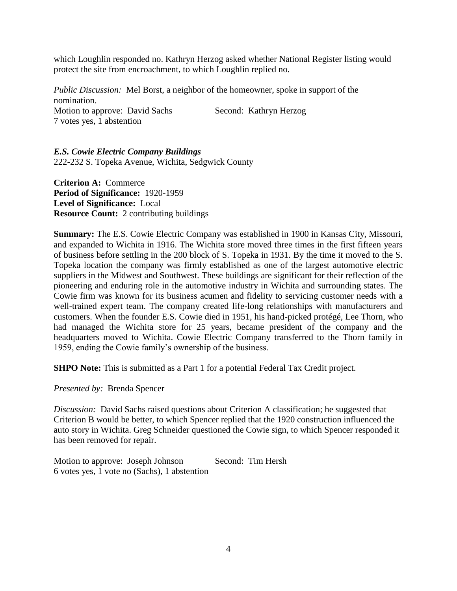which Loughlin responded no. Kathryn Herzog asked whether National Register listing would protect the site from encroachment, to which Loughlin replied no.

*Public Discussion:* Mel Borst, a neighbor of the homeowner, spoke in support of the nomination. Motion to approve: David Sachs Second: Kathryn Herzog 7 votes yes, 1 abstention

*E.S. Cowie Electric Company Buildings* 222-232 S. Topeka Avenue, Wichita, Sedgwick County

**Criterion A:** Commerce **Period of Significance:** 1920-1959 **Level of Significance:** Local **Resource Count:** 2 contributing buildings

**Summary:** The E.S. Cowie Electric Company was established in 1900 in Kansas City, Missouri, and expanded to Wichita in 1916. The Wichita store moved three times in the first fifteen years of business before settling in the 200 block of S. Topeka in 1931. By the time it moved to the S. Topeka location the company was firmly established as one of the largest automotive electric suppliers in the Midwest and Southwest. These buildings are significant for their reflection of the pioneering and enduring role in the automotive industry in Wichita and surrounding states. The Cowie firm was known for its business acumen and fidelity to servicing customer needs with a well-trained expert team. The company created life-long relationships with manufacturers and customers. When the founder E.S. Cowie died in 1951, his hand-picked protégé, Lee Thorn, who had managed the Wichita store for 25 years, became president of the company and the headquarters moved to Wichita. Cowie Electric Company transferred to the Thorn family in 1959, ending the Cowie family's ownership of the business.

**SHPO Note:** This is submitted as a Part 1 for a potential Federal Tax Credit project.

*Presented by:* Brenda Spencer

*Discussion:* David Sachs raised questions about Criterion A classification; he suggested that Criterion B would be better, to which Spencer replied that the 1920 construction influenced the auto story in Wichita. Greg Schneider questioned the Cowie sign, to which Spencer responded it has been removed for repair.

Motion to approve: Joseph Johnson Second: Tim Hersh 6 votes yes, 1 vote no (Sachs), 1 abstention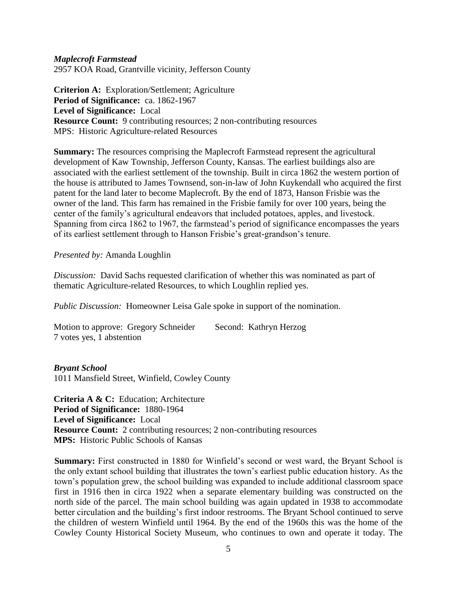### *Maplecroft Farmstead*

2957 KOA Road, Grantville vicinity, Jefferson County

**Criterion A:** Exploration/Settlement; Agriculture **Period of Significance:** ca. 1862-1967 **Level of Significance:** Local **Resource Count:** 9 contributing resources; 2 non-contributing resources MPS: Historic Agriculture-related Resources

**Summary:** The resources comprising the Maplecroft Farmstead represent the agricultural development of Kaw Township, Jefferson County, Kansas. The earliest buildings also are associated with the earliest settlement of the township. Built in circa 1862 the western portion of the house is attributed to James Townsend, son-in-law of John Kuykendall who acquired the first patent for the land later to become Maplecroft. By the end of 1873, Hanson Frisbie was the owner of the land. This farm has remained in the Frisbie family for over 100 years, being the center of the family's agricultural endeavors that included potatoes, apples, and livestock. Spanning from circa 1862 to 1967, the farmstead's period of significance encompasses the years of its earliest settlement through to Hanson Frisbie's great-grandson's tenure.

*Presented by:* Amanda Loughlin

*Discussion:* David Sachs requested clarification of whether this was nominated as part of thematic Agriculture-related Resources, to which Loughlin replied yes.

*Public Discussion:* Homeowner Leisa Gale spoke in support of the nomination.

Motion to approve: Gregory Schneider Second: Kathryn Herzog 7 votes yes, 1 abstention

*Bryant School* 1011 Mansfield Street, Winfield, Cowley County

**Criteria A & C:** Education; Architecture **Period of Significance:** 1880-1964 **Level of Significance:** Local **Resource Count:** 2 contributing resources; 2 non-contributing resources **MPS:** Historic Public Schools of Kansas

**Summary:** First constructed in 1880 for Winfield's second or west ward, the Bryant School is the only extant school building that illustrates the town's earliest public education history. As the town's population grew, the school building was expanded to include additional classroom space first in 1916 then in circa 1922 when a separate elementary building was constructed on the north side of the parcel. The main school building was again updated in 1938 to accommodate better circulation and the building's first indoor restrooms. The Bryant School continued to serve the children of western Winfield until 1964. By the end of the 1960s this was the home of the Cowley County Historical Society Museum, who continues to own and operate it today. The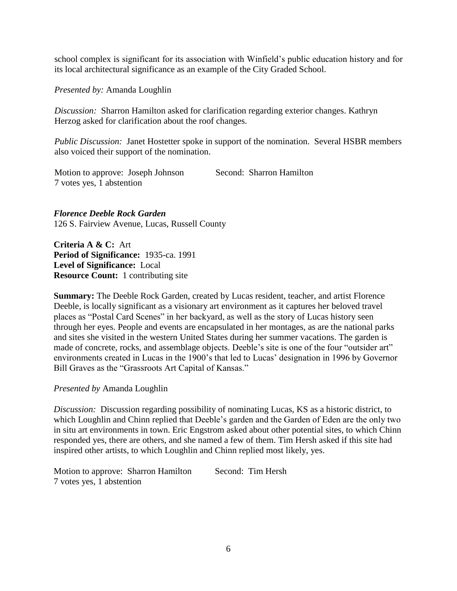school complex is significant for its association with Winfield's public education history and for its local architectural significance as an example of the City Graded School.

*Presented by:* Amanda Loughlin

*Discussion:* Sharron Hamilton asked for clarification regarding exterior changes. Kathryn Herzog asked for clarification about the roof changes.

*Public Discussion:* Janet Hostetter spoke in support of the nomination. Several HSBR members also voiced their support of the nomination.

Motion to approve: Joseph Johnson Second: Sharron Hamilton 7 votes yes, 1 abstention

*Florence Deeble Rock Garden* 126 S. Fairview Avenue, Lucas, Russell County

**Criteria A & C:** Art **Period of Significance:** 1935-ca. 1991 **Level of Significance:** Local **Resource Count:** 1 contributing site

**Summary:** The Deeble Rock Garden, created by Lucas resident, teacher, and artist Florence Deeble, is locally significant as a visionary art environment as it captures her beloved travel places as "Postal Card Scenes" in her backyard, as well as the story of Lucas history seen through her eyes. People and events are encapsulated in her montages, as are the national parks and sites she visited in the western United States during her summer vacations. The garden is made of concrete, rocks, and assemblage objects. Deeble's site is one of the four "outsider art" environments created in Lucas in the 1900's that led to Lucas' designation in 1996 by Governor Bill Graves as the "Grassroots Art Capital of Kansas."

*Presented by* Amanda Loughlin

*Discussion:* Discussion regarding possibility of nominating Lucas, KS as a historic district, to which Loughlin and Chinn replied that Deeble's garden and the Garden of Eden are the only two in situ art environments in town. Eric Engstrom asked about other potential sites, to which Chinn responded yes, there are others, and she named a few of them. Tim Hersh asked if this site had inspired other artists, to which Loughlin and Chinn replied most likely, yes.

Motion to approve: Sharron Hamilton Second: Tim Hersh 7 votes yes, 1 abstention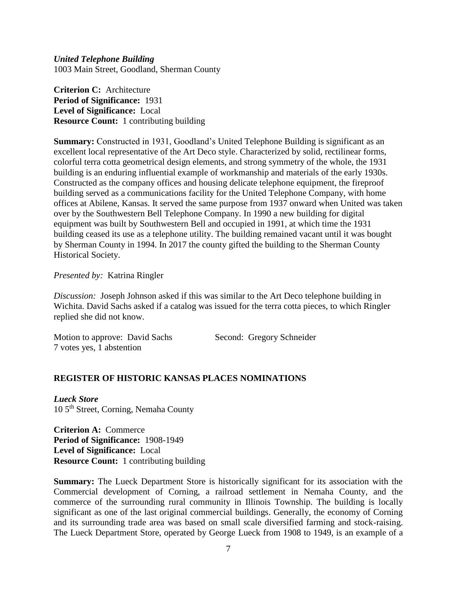*United Telephone Building* 1003 Main Street, Goodland, Sherman County

**Criterion C:** Architecture **Period of Significance:** 1931 **Level of Significance:** Local **Resource Count:** 1 contributing building

**Summary:** Constructed in 1931, Goodland's United Telephone Building is significant as an excellent local representative of the Art Deco style. Characterized by solid, rectilinear forms, colorful terra cotta geometrical design elements, and strong symmetry of the whole, the 1931 building is an enduring influential example of workmanship and materials of the early 1930s. Constructed as the company offices and housing delicate telephone equipment, the fireproof building served as a communications facility for the United Telephone Company, with home offices at Abilene, Kansas. It served the same purpose from 1937 onward when United was taken over by the Southwestern Bell Telephone Company. In 1990 a new building for digital equipment was built by Southwestern Bell and occupied in 1991, at which time the 1931 building ceased its use as a telephone utility. The building remained vacant until it was bought by Sherman County in 1994. In 2017 the county gifted the building to the Sherman County Historical Society.

*Presented by:* Katrina Ringler

*Discussion:* Joseph Johnson asked if this was similar to the Art Deco telephone building in Wichita. David Sachs asked if a catalog was issued for the terra cotta pieces, to which Ringler replied she did not know.

Motion to approve: David Sachs Second: Gregory Schneider 7 votes yes, 1 abstention

# **REGISTER OF HISTORIC KANSAS PLACES NOMINATIONS**

*Lueck Store* 10 5<sup>th</sup> Street, Corning, Nemaha County

**Criterion A:** Commerce **Period of Significance:** 1908-1949 **Level of Significance:** Local **Resource Count:** 1 contributing building

**Summary:** The Lueck Department Store is historically significant for its association with the Commercial development of Corning, a railroad settlement in Nemaha County, and the commerce of the surrounding rural community in Illinois Township. The building is locally significant as one of the last original commercial buildings. Generally, the economy of Corning and its surrounding trade area was based on small scale diversified farming and stock-raising. The Lueck Department Store, operated by George Lueck from 1908 to 1949, is an example of a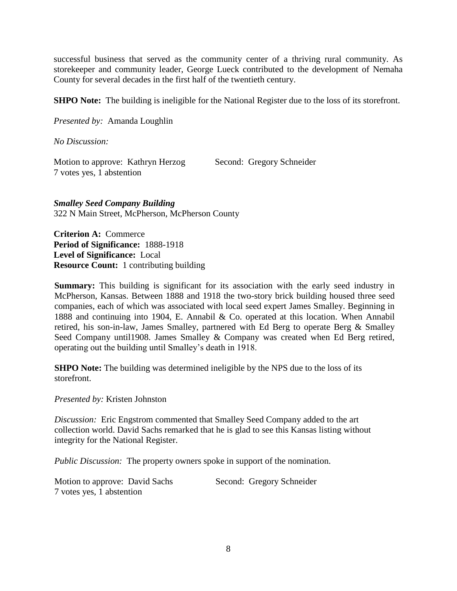successful business that served as the community center of a thriving rural community. As storekeeper and community leader, George Lueck contributed to the development of Nemaha County for several decades in the first half of the twentieth century.

**SHPO Note:** The building is ineligible for the National Register due to the loss of its storefront.

*Presented by:* Amanda Loughlin

*No Discussion:*

Motion to approve: Kathryn Herzog Second: Gregory Schneider 7 votes yes, 1 abstention

*Smalley Seed Company Building* 322 N Main Street, McPherson, McPherson County

**Criterion A:** Commerce **Period of Significance:** 1888-1918 **Level of Significance:** Local **Resource Count:** 1 contributing building

**Summary:** This building is significant for its association with the early seed industry in McPherson, Kansas. Between 1888 and 1918 the two-story brick building housed three seed companies, each of which was associated with local seed expert James Smalley. Beginning in 1888 and continuing into 1904, E. Annabil & Co. operated at this location. When Annabil retired, his son-in-law, James Smalley, partnered with Ed Berg to operate Berg & Smalley Seed Company until 1908. James Smalley & Company was created when Ed Berg retired, operating out the building until Smalley's death in 1918.

**SHPO Note:** The building was determined ineligible by the NPS due to the loss of its storefront.

*Presented by:* Kristen Johnston

*Discussion:* Eric Engstrom commented that Smalley Seed Company added to the art collection world. David Sachs remarked that he is glad to see this Kansas listing without integrity for the National Register.

*Public Discussion:* The property owners spoke in support of the nomination.

Motion to approve: David Sachs Second: Gregory Schneider 7 votes yes, 1 abstention